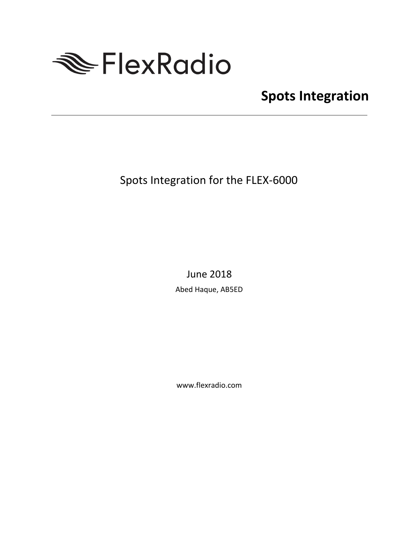

# **Spots Integration**

Spots Integration for the FLEX-6000

June 2018

Abed Haque, AB5ED

www.flexradio.com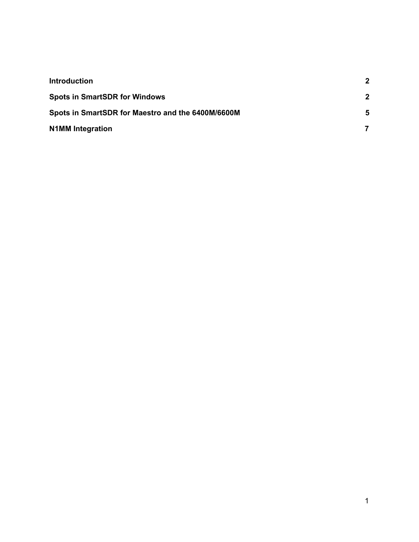| <b>Introduction</b>                               | $\mathbf 2$ |
|---------------------------------------------------|-------------|
| <b>Spots in SmartSDR for Windows</b>              | $\mathbf 2$ |
| Spots in SmartSDR for Maestro and the 6400M/6600M | 5           |
| <b>N1MM Integration</b>                           |             |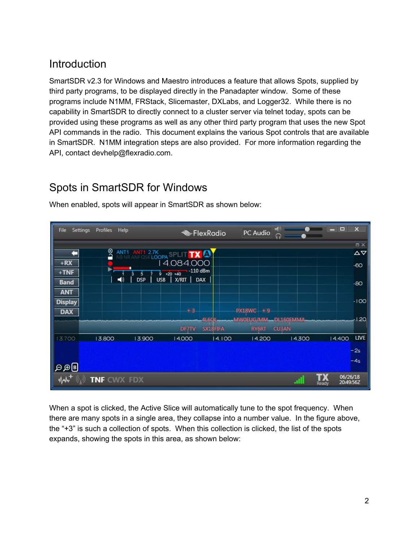### <span id="page-2-0"></span>Introduction

SmartSDR v2.3 for Windows and Maestro introduces a feature that allows Spots, supplied by third party programs, to be displayed directly in the Panadapter window. Some of these programs include N1MM, FRStack, Slicemaster, DXLabs, and Logger32. While there is no capability in SmartSDR to directly connect to a cluster server via telnet today, spots can be provided using these programs as well as any other third party program that uses the new Spot API commands in the radio. This document explains the various Spot controls that are available in SmartSDR. N1MM integration steps are also provided. For more information regarding the API, contact devhelp@flexradio.com.

## <span id="page-2-1"></span>Spots in SmartSDR for Windows



When enabled, spots will appear in SmartSDR as shown below:

When a spot is clicked, the Active Slice will automatically tune to the spot frequency. When there are many spots in a single area, they collapse into a number value. In the figure above, the "+3" is such a collection of spots. When this collection is clicked, the list of the spots expands, showing the spots in this area, as shown below: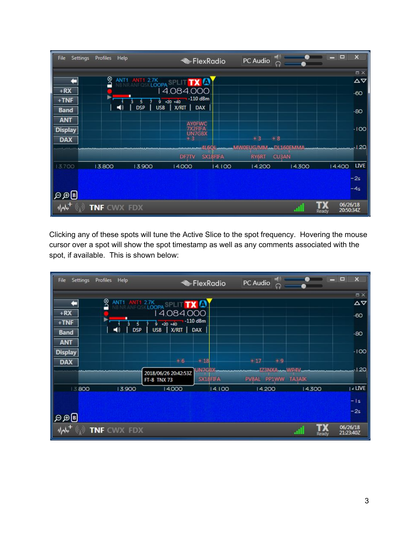| <b>File</b>                    | Settings Profiles Help |        |                      |                                                 |                                  | <b>ElexRadio</b> | PC Audio |              |        | $\begin{array}{c} \n - \n \end{array}$ | $\boldsymbol{\mathsf{x}}$ |
|--------------------------------|------------------------|--------|----------------------|-------------------------------------------------|----------------------------------|------------------|----------|--------------|--------|----------------------------------------|---------------------------|
|                                |                        |        |                      |                                                 |                                  |                  |          |              |        |                                        | <b>DX</b>                 |
|                                |                        | ∑      |                      | ANT1 ANT1 2.7K<br>NB NR ANF OSKLOOPA SPLIT TX Q |                                  |                  |          |              |        |                                        | $\Delta \nabla$           |
| $+ RX$                         |                        |        |                      |                                                 | 14.084.000                       |                  |          |              |        |                                        |                           |
|                                |                        |        |                      |                                                 |                                  |                  |          |              |        |                                        | $-60$                     |
| $+$ TNF                        |                        |        | <b>DSP</b>           |                                                 | $\frac{1}{9}$ +20 +40 $-110$ dBm |                  |          |              |        |                                        |                           |
| <b>Band</b>                    |                        |        | $\blacktriangleleft$ | USB   X/RIT   DAX                               |                                  |                  |          |              |        |                                        | $-80$                     |
| <b>ANT</b>                     |                        |        |                      |                                                 |                                  |                  |          |              |        |                                        |                           |
| <b>Display</b>                 |                        |        |                      |                                                 | <b>AYOFWC</b><br>7X2FIFA         |                  |          |              |        |                                        | $-100$                    |
|                                |                        |        |                      |                                                 | <b>UN7GBX</b><br>$+3$            |                  | $+3$     | $+8$         |        |                                        |                           |
| <b>DAX</b>                     |                        |        |                      |                                                 |                                  |                  |          |              |        |                                        |                           |
|                                |                        |        |                      |                                                 |                                  |                  |          |              |        |                                        | -120                      |
|                                |                        |        |                      |                                                 | DF7TV                            | SX18FIFA         | RY6RT    | <b>CU3AN</b> |        |                                        |                           |
| 3.700                          |                        | 13.800 |                      | 13.900                                          | 14.000                           | 14.100           | 14.200   |              | 14.300 | 14.400                                 | <b>LIVE</b>               |
|                                |                        |        |                      |                                                 |                                  |                  |          |              |        |                                        | $-2s$                     |
|                                |                        |        |                      |                                                 |                                  |                  |          |              |        |                                        |                           |
|                                |                        |        |                      |                                                 |                                  |                  |          |              |        |                                        | $-4s$                     |
| $\mathbf{B} \oplus \mathbf{C}$ |                        |        |                      |                                                 |                                  |                  |          |              |        |                                        |                           |
|                                |                        |        | <b>TNF CWX FDX</b>   |                                                 |                                  |                  |          |              |        | 06/26/18<br>20:50:34Z                  |                           |
|                                |                        |        |                      |                                                 |                                  |                  |          |              |        | Ready                                  |                           |

Clicking any of these spots will tune the Active Slice to the spot frequency. Hovering the mouse cursor over a spot will show the spot timestamp as well as any comments associated with the spot, if available. This is shown below:

| File                      |       | Settings Profiles Help |            |                                                | <b>ElexRadio</b>          |        | PC Audio           | ۰m<br>ຕ      |        | $  x$                 |
|---------------------------|-------|------------------------|------------|------------------------------------------------|---------------------------|--------|--------------------|--------------|--------|-----------------------|
|                           |       |                        |            |                                                |                           |        |                    |              |        | <b>OX</b>             |
|                           |       | ∑                      |            | ANT1 ANT1 2.7K<br>NB NRANE OSKLOOPA SPLIT TX O |                           |        |                    |              |        | $\Delta \nabla$       |
| $+ RX$<br>$+$ TNF         |       |                        |            | 14.084.000<br>$\frac{1}{9}$ +20 +40 $-110$ dBm |                           |        |                    |              |        | $-60$                 |
| <b>Band</b><br><b>ANT</b> |       | $\blacktriangleleft$   | <b>DSP</b> | USB   X/RIT   DAX                              |                           |        |                    |              |        | $-80$                 |
| <b>Display</b>            |       |                        |            |                                                |                           |        |                    |              |        | $-100$                |
| <b>DAX</b>                |       |                        |            | $+6$                                           | $+18$                     |        | $+17$              | $+9$         |        |                       |
|                           |       |                        |            | 2018/06/26 20:42:53Z<br>FT-8 TNX 73            | <b>UN7GBX</b><br>SX18FIFA |        | PV8AL PP1WW TA3AIK | IZ3NXA. WP4V |        | $-120$                |
|                           | 13800 |                        | 13.900     | 14.000                                         |                           | 14.100 | 14.200             |              | 14.300 | $ $ $\angle$ LIVE     |
|                           |       |                        |            |                                                |                           |        |                    |              |        | $-1s$                 |
|                           |       |                        |            |                                                |                           |        |                    |              |        | $-2s$                 |
| Wh ?                      |       | TNF CWX FDX            |            |                                                |                           |        |                    |              | Ready  | 06/26/18<br>21:23:40Z |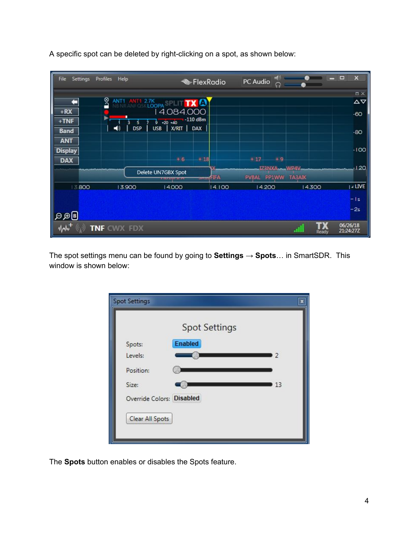| <b>File</b>                  | Settings Profiles Help       | <b>ElexRadio</b>                                   |            | PC Audio<br>ິ         |              | $\blacksquare$<br>$\times$     |
|------------------------------|------------------------------|----------------------------------------------------|------------|-----------------------|--------------|--------------------------------|
|                              |                              |                                                    |            |                       |              | <b>DX</b>                      |
|                              | ৣ                            | ANT1 ANT1 2.7K SPLITTY                             |            |                       |              | $\Delta \nabla$                |
| $+ RX$<br><b>TNF</b>         |                              | 14.084.000<br>$9 + 20 + 40$ -110 dBm               |            |                       |              | $-60$                          |
| <b>Band</b>                  | <b>DSP</b><br>$\blacksquare$ | X/RIT   DAX<br><b>USB</b>                          |            |                       |              | $-80$                          |
| <b>ANT</b><br><b>Display</b> |                              |                                                    |            |                       |              | $-100$                         |
| <b>DAX</b>                   |                              | $+6$<br>$+18$                                      |            | $+9$<br>$+17$         |              |                                |
|                              |                              | Delete UN7GBX Spot<br><b>THE REAL PROPERTY AND</b> | $30-10$ FA | PP1WW TA3AIK<br>PV8AL | JZ3NXA  WP4V | 120ء۔                          |
| 13.800                       | 13.900                       | 14.000                                             | 14.100     | 14.200                | 14.300       | $ 4$ LIVE                      |
|                              |                              |                                                    |            |                       |              | $-1s$                          |
| ∄⊕ ⊝                         |                              |                                                    |            |                       |              | $-2s$                          |
|                              | TNF CWX FDX                  |                                                    |            |                       |              | 06/26/18<br>21:24:27Z<br>Ready |

A specific spot can be deleted by right-clicking on a spot, as shown below:

The spot settings menu can be found by going to **Settings → Spots**… in SmartSDR. This window is shown below:

| <b>Spot Settings</b> |                           | $\pmb{\times}$ |
|----------------------|---------------------------|----------------|
|                      | <b>Spot Settings</b>      |                |
| Spots:               | <b>Enabled</b>            |                |
| Levels:              |                           | 2              |
| Position:            |                           |                |
| Size:                |                           | 13             |
|                      | Override Colors: Disabled |                |
| Clear All Spots      |                           |                |

The **Spots** button enables or disables the Spots feature.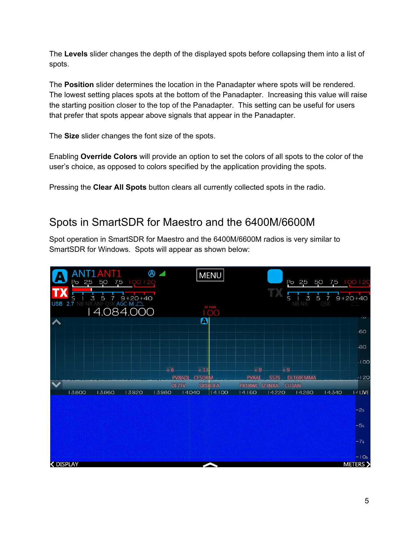The **Levels** slider changes the depth of the displayed spots before collapsing them into a list of spots.

The **Position** slider determines the location in the Panadapter where spots will be rendered. The lowest setting places spots at the bottom of the Panadapter. Increasing this value will raise the starting position closer to the top of the Panadapter. This setting can be useful for users that prefer that spots appear above signals that appear in the Panadapter.

The **Size** slider changes the font size of the spots.

Enabling **Override Colors** will provide an option to set the colors of all spots to the color of the user's choice, as opposed to colors specified by the application providing the spots.

Pressing the **Clear All Spots** button clears all currently collected spots in the radio.

### <span id="page-5-0"></span>Spots in SmartSDR for Maestro and the 6400M/6600M

Spot operation in SmartSDR for Maestro and the 6400M/6600M radios is very similar to SmartSDR for Windows. Spots will appear as shown below:

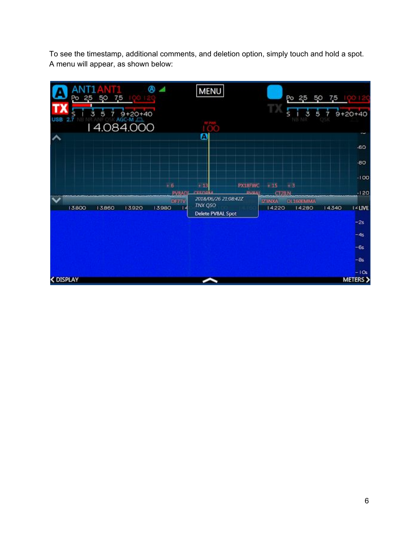To see the timestamp, additional comments, and deletion option, simply touch and hold a spot. A menu will appear, as shown below:

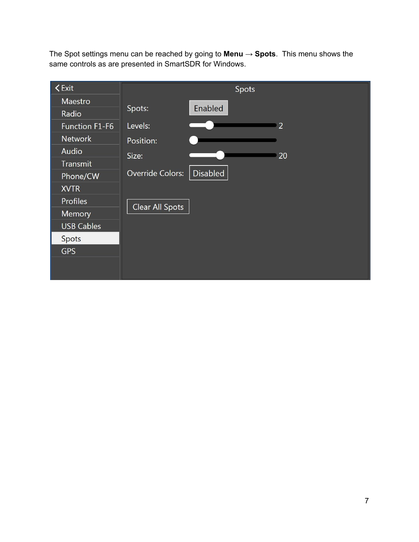The Spot settings menu can be reached by going to **Menu → Spots**. This menu shows the same controls as are presented in SmartSDR for Windows.

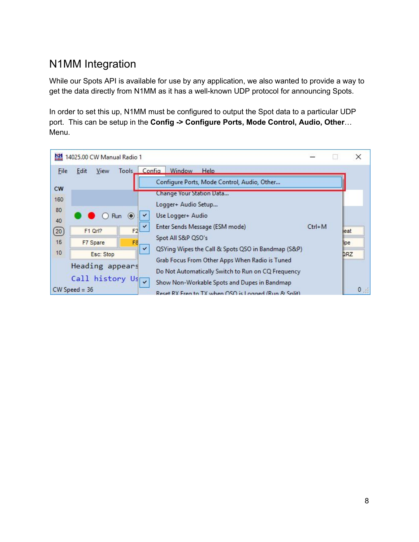# <span id="page-8-0"></span>N1MM Integration

While our Spots API is available for use by any application, we also wanted to provide a way to get the data directly from N1MM as it has a well-known UDP protocol for announcing Spots.

In order to set this up, N1MM must be configured to output the Spot data to a particular UDP port. This can be setup in the **Config -> Configure Ports, Mode Control, Audio, Other**… Menu.

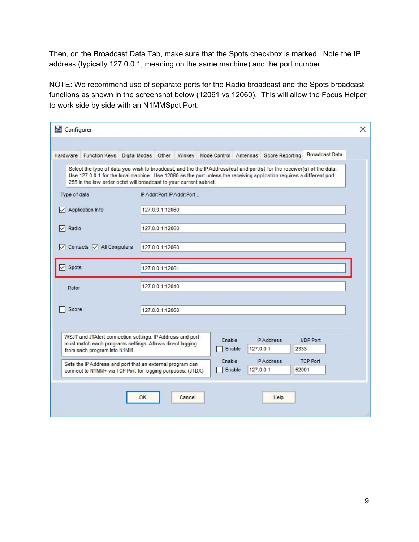Then, on the Broadcast Data Tab, make sure that the Spots checkbox is marked. Note the IP address (typically 127.0.0.1, meaning on the same machine) and the port number.

NOTE: We recommend use of separate ports for the Radio broadcast and the Spots broadcast functions as shown in the screenshot below (12061 vs 12060). This will allow the Focus Helper to work side by side with an N1MMSpot Port.

| M Configurer                                                                                                                                                                                                                                                                     |                                                                                                                                                                                                                                                                                                                       | × |
|----------------------------------------------------------------------------------------------------------------------------------------------------------------------------------------------------------------------------------------------------------------------------------|-----------------------------------------------------------------------------------------------------------------------------------------------------------------------------------------------------------------------------------------------------------------------------------------------------------------------|---|
| Hardware Function Keys Digital Modes Other                                                                                                                                                                                                                                       | <b>Broadcast Data</b><br>Winkey Mode Control Antennas Score Reporting                                                                                                                                                                                                                                                 |   |
|                                                                                                                                                                                                                                                                                  | Select the type of data you wish to broadcast, and the the IP Address(es) and port(s) for the receiver(s) of the data.<br>Use 127.0.0.1 for the local machine. Use 12060 as the port unless the receiving application requires a different port.<br>255 in the low order octet will broadcast to your current subnet. |   |
| Type of data                                                                                                                                                                                                                                                                     | IP Addr: Port IP Addr: Port                                                                                                                                                                                                                                                                                           |   |
| Application Info                                                                                                                                                                                                                                                                 | 127.0.0.1:12060                                                                                                                                                                                                                                                                                                       |   |
| Radio<br>⋈                                                                                                                                                                                                                                                                       | 127.0.0.1:12060                                                                                                                                                                                                                                                                                                       |   |
| Contacts $\sqrt{\phantom{a}}$ All Computers<br>$\vee$                                                                                                                                                                                                                            | 127.0.0.1:12060                                                                                                                                                                                                                                                                                                       |   |
| Spots                                                                                                                                                                                                                                                                            | 127.0.0.1:12061                                                                                                                                                                                                                                                                                                       |   |
| Rotor                                                                                                                                                                                                                                                                            | 127.0.0.1:12040                                                                                                                                                                                                                                                                                                       |   |
| Score                                                                                                                                                                                                                                                                            | 127.0.0.1:12060                                                                                                                                                                                                                                                                                                       |   |
| WSJT and JTAlert connection settings. IP Address and port<br>must match each programs settings. Allows direct logging<br>from each program into N1MM.<br>Sets the IP Address and port that an external program can<br>connect to N1MM+ via TCP Port for logging purposes. (JTDX) | Enable<br><b>IP Address</b><br><b>UDP Port</b><br>2333<br>Enable<br>127.0.0.1<br><b>IP Address</b><br><b>TCP Port</b><br>Enable<br>127.0.0.1<br>52001<br>Enable                                                                                                                                                       |   |
|                                                                                                                                                                                                                                                                                  | OK<br>Cancel<br>Help                                                                                                                                                                                                                                                                                                  |   |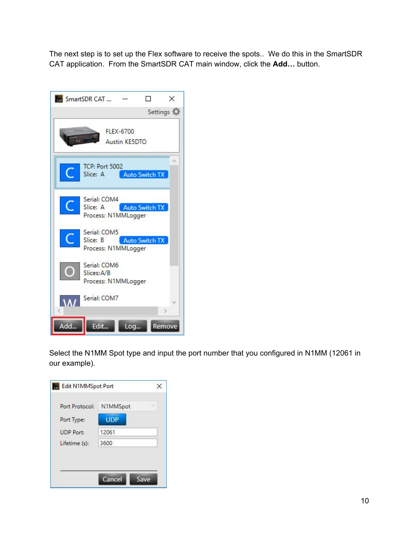The next step is to set up the Flex software to receive the spots.. We do this in the SmartSDR CAT application. From the SmartSDR CAT main window, click the **Add…** button.

|     | SmartSDR CAT                                                   |                                   | ×        |
|-----|----------------------------------------------------------------|-----------------------------------|----------|
|     |                                                                |                                   | Settings |
|     |                                                                | <b>FLEX-6700</b><br>Austin KE5DTO |          |
|     | <b>TCP: Port 5002</b><br>Slice: A Auto Switch TX               |                                   |          |
|     | Serial: COM4<br>Slice: A Auto Switch TX<br>Process: N1MMLogger |                                   |          |
|     | Serial: COM5<br>Slice: B Auto Switch TX<br>Process: N1MMLogger |                                   |          |
|     | Serial: COM6<br>Slices: A/B<br>Process: N1MMLogger             |                                   |          |
|     | Serial: COM7                                                   |                                   |          |
| Add | Edit                                                           | Log                               | Remove   |

Select the N1MM Spot type and input the port number that you configured in N1MM (12061 in our example).

| Port Protocol:   | $\sim$<br>N1MMSpot |
|------------------|--------------------|
| Port Type:       | <b>UDP</b>         |
| <b>UDP Port:</b> | 12061              |
| Lifetime (s):    | 3600               |
|                  |                    |